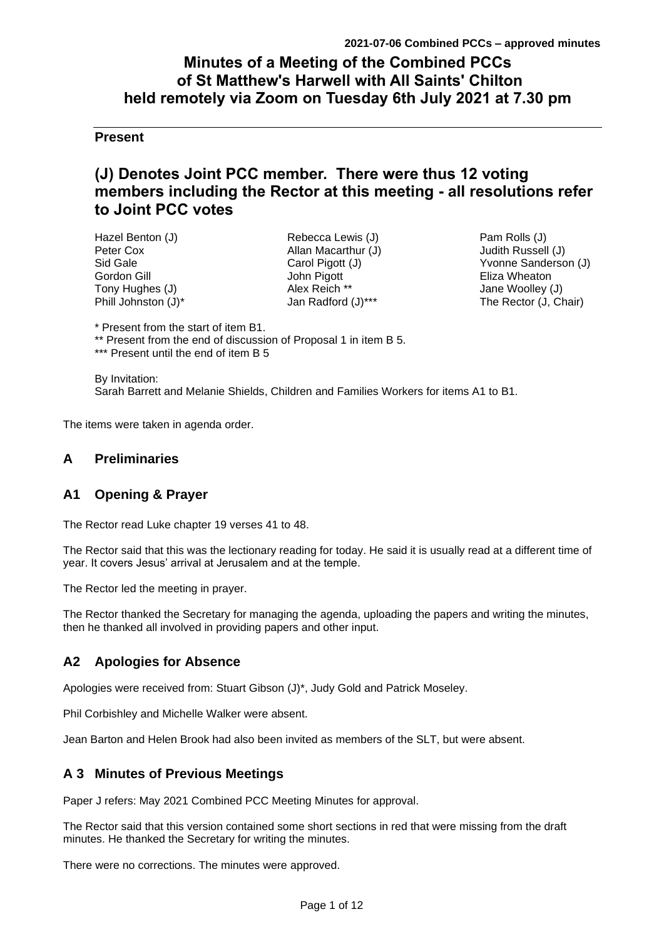# **Minutes of a Meeting of the Combined PCCs of St Matthew's Harwell with All Saints' Chilton held remotely via Zoom on Tuesday 6th July 2021 at 7.30 pm**

# **Present**

# **(J) Denotes Joint PCC member. There were thus 12 voting members including the Rector at this meeting - all resolutions refer to Joint PCC votes**

| Hazel Benton (J)    |
|---------------------|
| Peter Cox           |
| Sid Gale            |
| Gordon Gill         |
| Tony Hughes (J)     |
| Phill Johnston (J)* |

Rebecca Lewis (J) Allan Macarthur (J) Carol Pigott (J) John Pigott Alex Reich \*\* Jan Radford (J)\*\*\*

Pam Rolls (J) Judith Russell (J) Yvonne Sanderson (J) Eliza Wheaton Jane Woolley (J) The Rector (J, Chair)

\* Present from the start of item B1.

\*\* Present from the end of discussion of Proposal 1 in item B 5.

\*\*\* Present until the end of item B 5

By Invitation: Sarah Barrett and Melanie Shields, Children and Families Workers for items A1 to B1.

The items were taken in agenda order.

# **A Preliminaries**

# **A1 Opening & Prayer**

The Rector read Luke chapter 19 verses 41 to 48.

The Rector said that this was the lectionary reading for today. He said it is usually read at a different time of year. It covers Jesus' arrival at Jerusalem and at the temple.

The Rector led the meeting in prayer.

The Rector thanked the Secretary for managing the agenda, uploading the papers and writing the minutes, then he thanked all involved in providing papers and other input.

# **A2 Apologies for Absence**

Apologies were received from: Stuart Gibson (J)\*, Judy Gold and Patrick Moseley.

Phil Corbishley and Michelle Walker were absent.

Jean Barton and Helen Brook had also been invited as members of the SLT, but were absent.

# **A 3 Minutes of Previous Meetings**

Paper J refers: May 2021 Combined PCC Meeting Minutes for approval.

The Rector said that this version contained some short sections in red that were missing from the draft minutes. He thanked the Secretary for writing the minutes.

There were no corrections. The minutes were approved.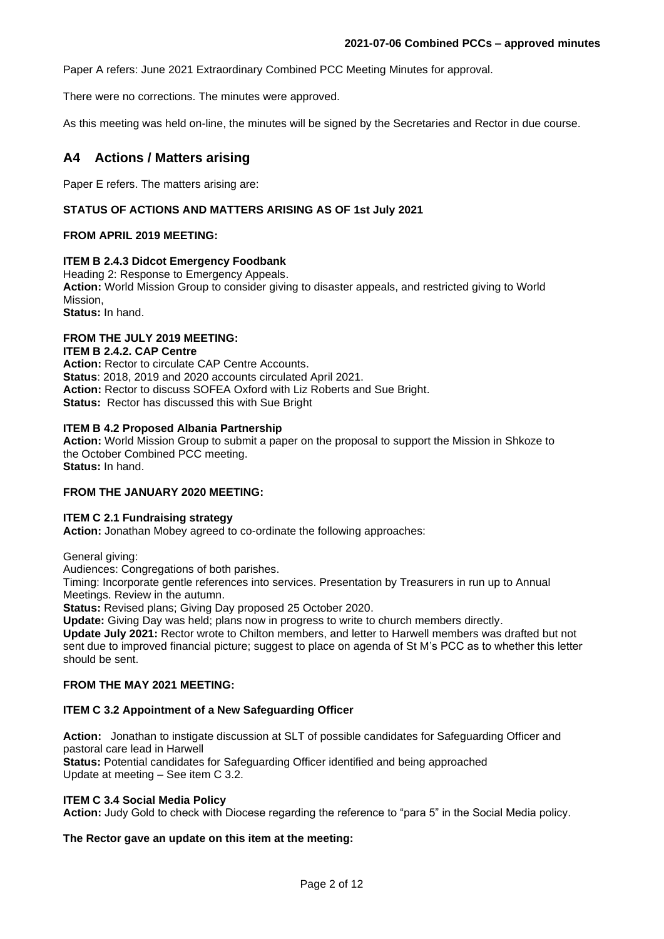Paper A refers: June 2021 Extraordinary Combined PCC Meeting Minutes for approval.

There were no corrections. The minutes were approved.

As this meeting was held on-line, the minutes will be signed by the Secretaries and Rector in due course.

# **A4 Actions / Matters arising**

Paper E refers. The matters arising are:

### **STATUS OF ACTIONS AND MATTERS ARISING AS OF 1st July 2021**

### **FROM APRIL 2019 MEETING:**

### **ITEM B 2.4.3 Didcot Emergency Foodbank**

Heading 2: Response to Emergency Appeals.

**Action:** World Mission Group to consider giving to disaster appeals, and restricted giving to World Mission,

**Status:** In hand.

# **FROM THE JULY 2019 MEETING:**

## **ITEM B 2.4.2. CAP Centre**

**Action:** Rector to circulate CAP Centre Accounts. **Status**: 2018, 2019 and 2020 accounts circulated April 2021. **Action:** Rector to discuss SOFEA Oxford with Liz Roberts and Sue Bright. **Status:** Rector has discussed this with Sue Bright

#### **ITEM B 4.2 Proposed Albania Partnership**

**Action:** World Mission Group to submit a paper on the proposal to support the Mission in Shkoze to the October Combined PCC meeting.

**Status:** In hand.

#### **FROM THE JANUARY 2020 MEETING:**

#### **ITEM C 2.1 Fundraising strategy**

**Action:** Jonathan Mobey agreed to co-ordinate the following approaches:

General giving:

Audiences: Congregations of both parishes.

Timing: Incorporate gentle references into services. Presentation by Treasurers in run up to Annual Meetings. Review in the autumn.

**Status:** Revised plans; Giving Day proposed 25 October 2020.

**Update:** Giving Day was held; plans now in progress to write to church members directly.

**Update July 2021:** Rector wrote to Chilton members, and letter to Harwell members was drafted but not sent due to improved financial picture; suggest to place on agenda of St M's PCC as to whether this letter should be sent.

### **FROM THE MAY 2021 MEETING:**

### **ITEM C 3.2 Appointment of a New Safeguarding Officer**

**Action:** Jonathan to instigate discussion at SLT of possible candidates for Safeguarding Officer and pastoral care lead in Harwell

**Status:** Potential candidates for Safeguarding Officer identified and being approached Update at meeting – See item C 3.2.

#### **ITEM C 3.4 Social Media Policy**

**Action:** Judy Gold to check with Diocese regarding the reference to "para 5" in the Social Media policy.

**The Rector gave an update on this item at the meeting:**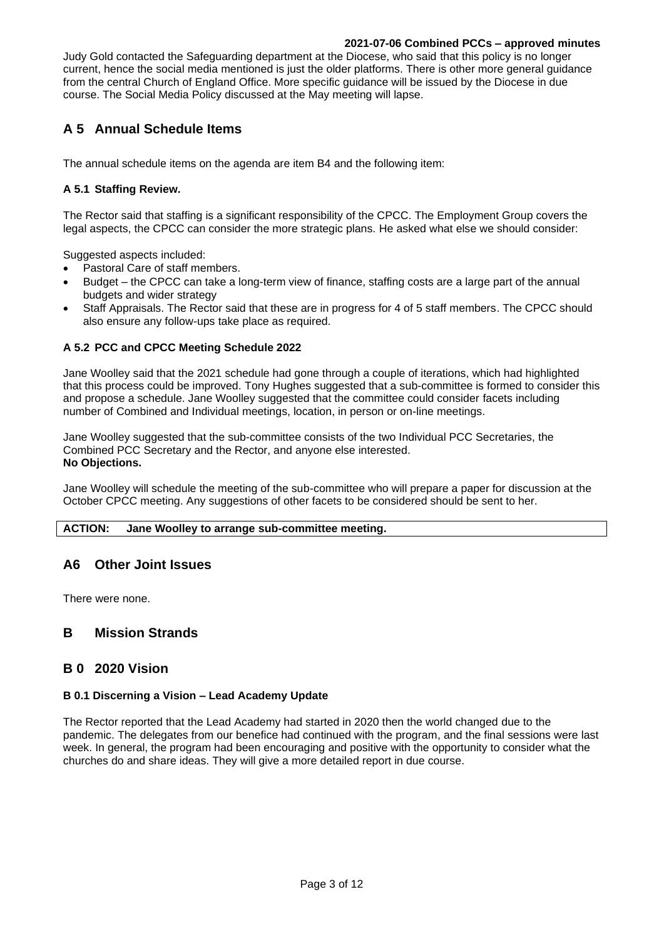Judy Gold contacted the Safeguarding department at the Diocese, who said that this policy is no longer current, hence the social media mentioned is just the older platforms. There is other more general guidance from the central Church of England Office. More specific guidance will be issued by the Diocese in due course. The Social Media Policy discussed at the May meeting will lapse.

# **A 5 Annual Schedule Items**

The annual schedule items on the agenda are item B4 and the following item:

## **A 5.1 Staffing Review.**

The Rector said that staffing is a significant responsibility of the CPCC. The Employment Group covers the legal aspects, the CPCC can consider the more strategic plans. He asked what else we should consider:

Suggested aspects included:

- Pastoral Care of staff members.
- Budget the CPCC can take a long-term view of finance, staffing costs are a large part of the annual budgets and wider strategy
- Staff Appraisals. The Rector said that these are in progress for 4 of 5 staff members. The CPCC should also ensure any follow-ups take place as required.

### **A 5.2 PCC and CPCC Meeting Schedule 2022**

Jane Woolley said that the 2021 schedule had gone through a couple of iterations, which had highlighted that this process could be improved. Tony Hughes suggested that a sub-committee is formed to consider this and propose a schedule. Jane Woolley suggested that the committee could consider facets including number of Combined and Individual meetings, location, in person or on-line meetings.

Jane Woolley suggested that the sub-committee consists of the two Individual PCC Secretaries, the Combined PCC Secretary and the Rector, and anyone else interested. **No Objections.**

Jane Woolley will schedule the meeting of the sub-committee who will prepare a paper for discussion at the October CPCC meeting. Any suggestions of other facets to be considered should be sent to her.

#### **ACTION: Jane Woolley to arrange sub-committee meeting.**

# **A6 Other Joint Issues**

There were none.

# **B Mission Strands**

# **B 0 2020 Vision**

### **B 0.1 Discerning a Vision – Lead Academy Update**

The Rector reported that the Lead Academy had started in 2020 then the world changed due to the pandemic. The delegates from our benefice had continued with the program, and the final sessions were last week. In general, the program had been encouraging and positive with the opportunity to consider what the churches do and share ideas. They will give a more detailed report in due course.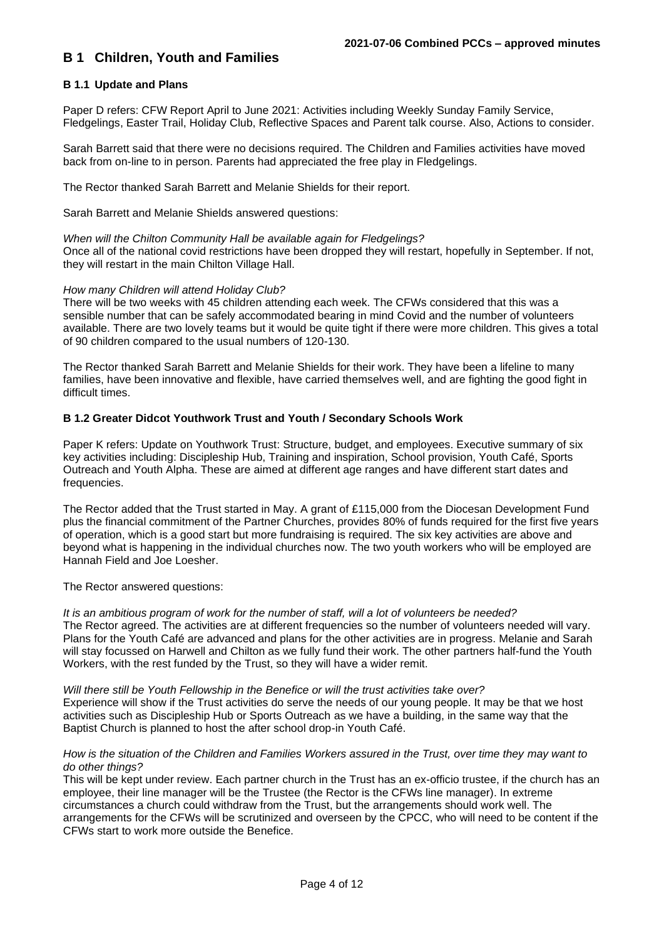# **B 1 Children, Youth and Families**

### **B 1.1 Update and Plans**

Paper D refers: CFW Report April to June 2021: Activities including Weekly Sunday Family Service, Fledgelings, Easter Trail, Holiday Club, Reflective Spaces and Parent talk course. Also, Actions to consider.

Sarah Barrett said that there were no decisions required. The Children and Families activities have moved back from on-line to in person. Parents had appreciated the free play in Fledgelings.

The Rector thanked Sarah Barrett and Melanie Shields for their report.

Sarah Barrett and Melanie Shields answered questions:

### *When will the Chilton Community Hall be available again for Fledgelings?*

Once all of the national covid restrictions have been dropped they will restart, hopefully in September. If not, they will restart in the main Chilton Village Hall.

### *How many Children will attend Holiday Club?*

There will be two weeks with 45 children attending each week. The CFWs considered that this was a sensible number that can be safely accommodated bearing in mind Covid and the number of volunteers available. There are two lovely teams but it would be quite tight if there were more children. This gives a total of 90 children compared to the usual numbers of 120-130.

The Rector thanked Sarah Barrett and Melanie Shields for their work. They have been a lifeline to many families, have been innovative and flexible, have carried themselves well, and are fighting the good fight in difficult times.

### **B 1.2 Greater Didcot Youthwork Trust and Youth / Secondary Schools Work**

Paper K refers: Update on Youthwork Trust: Structure, budget, and employees. Executive summary of six key activities including: Discipleship Hub, Training and inspiration, School provision, Youth Café, Sports Outreach and Youth Alpha. These are aimed at different age ranges and have different start dates and frequencies.

The Rector added that the Trust started in May. A grant of £115,000 from the Diocesan Development Fund plus the financial commitment of the Partner Churches, provides 80% of funds required for the first five years of operation, which is a good start but more fundraising is required. The six key activities are above and beyond what is happening in the individual churches now. The two youth workers who will be employed are Hannah Field and Joe Loesher.

The Rector answered questions:

*It is an ambitious program of work for the number of staff, will a lot of volunteers be needed?* The Rector agreed. The activities are at different frequencies so the number of volunteers needed will vary. Plans for the Youth Café are advanced and plans for the other activities are in progress. Melanie and Sarah will stay focussed on Harwell and Chilton as we fully fund their work. The other partners half-fund the Youth Workers, with the rest funded by the Trust, so they will have a wider remit.

*Will there still be Youth Fellowship in the Benefice or will the trust activities take over?* Experience will show if the Trust activities do serve the needs of our young people. It may be that we host activities such as Discipleship Hub or Sports Outreach as we have a building, in the same way that the Baptist Church is planned to host the after school drop-in Youth Café.

#### *How is the situation of the Children and Families Workers assured in the Trust, over time they may want to do other things?*

This will be kept under review. Each partner church in the Trust has an ex-officio trustee, if the church has an employee, their line manager will be the Trustee (the Rector is the CFWs line manager). In extreme circumstances a church could withdraw from the Trust, but the arrangements should work well. The arrangements for the CFWs will be scrutinized and overseen by the CPCC, who will need to be content if the CFWs start to work more outside the Benefice.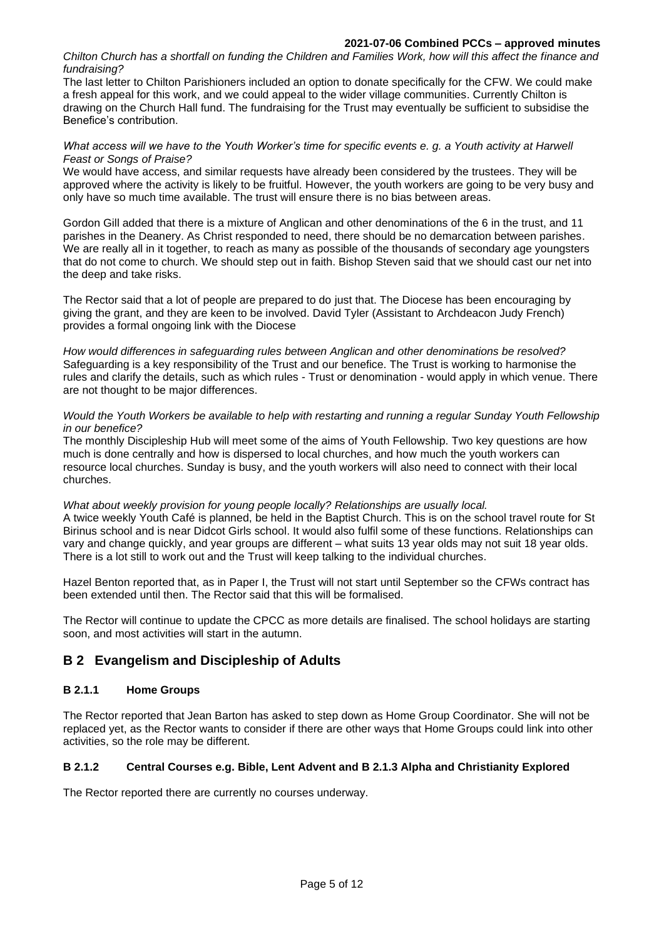*Chilton Church has a shortfall on funding the Children and Families Work, how will this affect the finance and fundraising?*

The last letter to Chilton Parishioners included an option to donate specifically for the CFW. We could make a fresh appeal for this work, and we could appeal to the wider village communities. Currently Chilton is drawing on the Church Hall fund. The fundraising for the Trust may eventually be sufficient to subsidise the Benefice's contribution.

#### *What access will we have to the Youth Worker's time for specific events e. g. a Youth activity at Harwell Feast or Songs of Praise?*

We would have access, and similar requests have already been considered by the trustees. They will be approved where the activity is likely to be fruitful. However, the youth workers are going to be very busy and only have so much time available. The trust will ensure there is no bias between areas.

Gordon Gill added that there is a mixture of Anglican and other denominations of the 6 in the trust, and 11 parishes in the Deanery. As Christ responded to need, there should be no demarcation between parishes. We are really all in it together, to reach as many as possible of the thousands of secondary age youngsters that do not come to church. We should step out in faith. Bishop Steven said that we should cast our net into the deep and take risks.

The Rector said that a lot of people are prepared to do just that. The Diocese has been encouraging by giving the grant, and they are keen to be involved. David Tyler (Assistant to Archdeacon Judy French) provides a formal ongoing link with the Diocese

*How would differences in safeguarding rules between Anglican and other denominations be resolved?* Safeguarding is a key responsibility of the Trust and our benefice. The Trust is working to harmonise the rules and clarify the details, such as which rules - Trust or denomination - would apply in which venue. There are not thought to be major differences.

#### *Would the Youth Workers be available to help with restarting and running a regular Sunday Youth Fellowship in our benefice?*

The monthly Discipleship Hub will meet some of the aims of Youth Fellowship. Two key questions are how much is done centrally and how is dispersed to local churches, and how much the youth workers can resource local churches. Sunday is busy, and the youth workers will also need to connect with their local churches.

#### *What about weekly provision for young people locally? Relationships are usually local.*

A twice weekly Youth Café is planned, be held in the Baptist Church. This is on the school travel route for St Birinus school and is near Didcot Girls school. It would also fulfil some of these functions. Relationships can vary and change quickly, and year groups are different – what suits 13 year olds may not suit 18 year olds. There is a lot still to work out and the Trust will keep talking to the individual churches.

Hazel Benton reported that, as in Paper I, the Trust will not start until September so the CFWs contract has been extended until then. The Rector said that this will be formalised.

The Rector will continue to update the CPCC as more details are finalised. The school holidays are starting soon, and most activities will start in the autumn.

# **B 2 Evangelism and Discipleship of Adults**

## **B 2.1.1 Home Groups**

The Rector reported that Jean Barton has asked to step down as Home Group Coordinator. She will not be replaced yet, as the Rector wants to consider if there are other ways that Home Groups could link into other activities, so the role may be different.

## **B 2.1.2 Central Courses e.g. Bible, Lent Advent and B 2.1.3 Alpha and Christianity Explored**

The Rector reported there are currently no courses underway.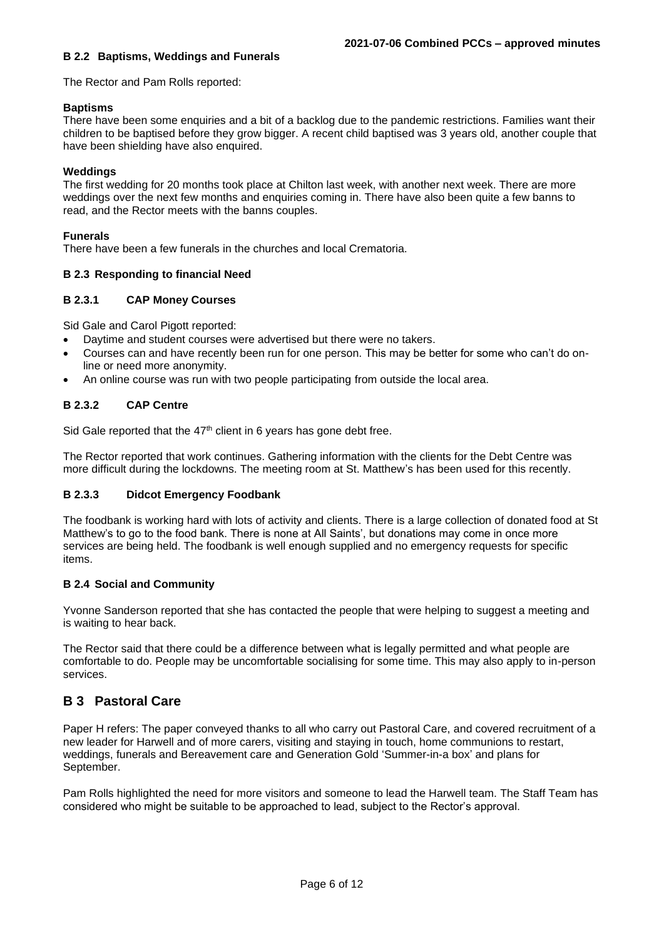### **B 2.2 Baptisms, Weddings and Funerals**

The Rector and Pam Rolls reported:

### **Baptisms**

There have been some enquiries and a bit of a backlog due to the pandemic restrictions. Families want their children to be baptised before they grow bigger. A recent child baptised was 3 years old, another couple that have been shielding have also enquired.

### **Weddings**

The first wedding for 20 months took place at Chilton last week, with another next week. There are more weddings over the next few months and enquiries coming in. There have also been quite a few banns to read, and the Rector meets with the banns couples.

### **Funerals**

There have been a few funerals in the churches and local Crematoria.

### **B 2.3 Responding to financial Need**

### **B 2.3.1 CAP Money Courses**

Sid Gale and Carol Pigott reported:

- Daytime and student courses were advertised but there were no takers.
- Courses can and have recently been run for one person. This may be better for some who can't do online or need more anonymity.
- An online course was run with two people participating from outside the local area.

### **B 2.3.2 CAP Centre**

Sid Gale reported that the  $47<sup>th</sup>$  client in 6 years has gone debt free.

The Rector reported that work continues. Gathering information with the clients for the Debt Centre was more difficult during the lockdowns. The meeting room at St. Matthew's has been used for this recently.

### **B 2.3.3 Didcot Emergency Foodbank**

The foodbank is working hard with lots of activity and clients. There is a large collection of donated food at St Matthew's to go to the food bank. There is none at All Saints', but donations may come in once more services are being held. The foodbank is well enough supplied and no emergency requests for specific items.

#### **B 2.4 Social and Community**

Yvonne Sanderson reported that she has contacted the people that were helping to suggest a meeting and is waiting to hear back.

The Rector said that there could be a difference between what is legally permitted and what people are comfortable to do. People may be uncomfortable socialising for some time. This may also apply to in-person services.

# **B 3 Pastoral Care**

Paper H refers: The paper conveyed thanks to all who carry out Pastoral Care, and covered recruitment of a new leader for Harwell and of more carers, visiting and staying in touch, home communions to restart, weddings, funerals and Bereavement care and Generation Gold 'Summer-in-a box' and plans for September.

Pam Rolls highlighted the need for more visitors and someone to lead the Harwell team. The Staff Team has considered who might be suitable to be approached to lead, subject to the Rector's approval.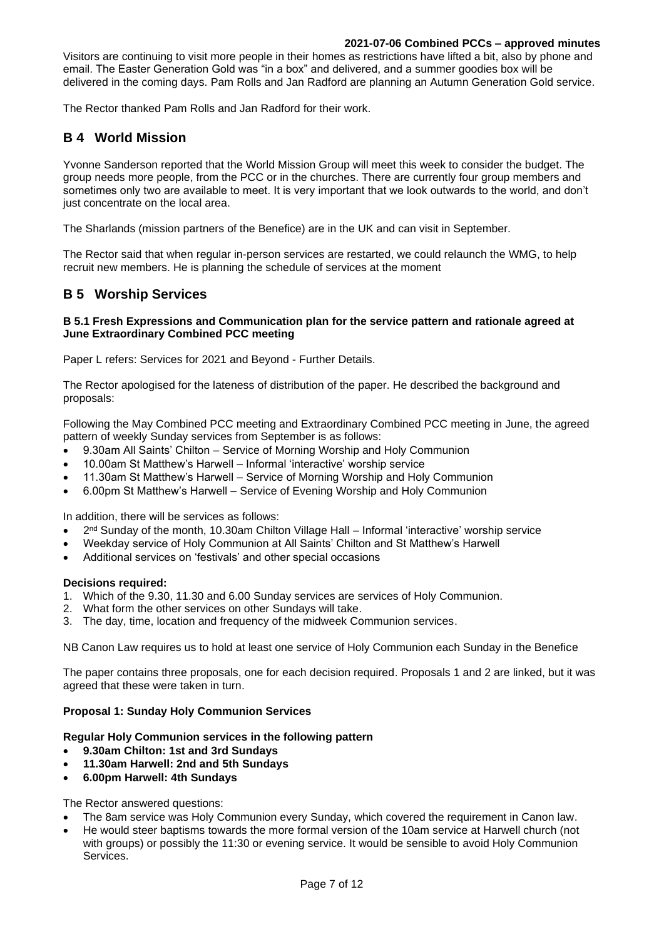Visitors are continuing to visit more people in their homes as restrictions have lifted a bit, also by phone and email. The Easter Generation Gold was "in a box" and delivered, and a summer goodies box will be delivered in the coming days. Pam Rolls and Jan Radford are planning an Autumn Generation Gold service.

The Rector thanked Pam Rolls and Jan Radford for their work.

# **B 4 World Mission**

Yvonne Sanderson reported that the World Mission Group will meet this week to consider the budget. The group needs more people, from the PCC or in the churches. There are currently four group members and sometimes only two are available to meet. It is very important that we look outwards to the world, and don't just concentrate on the local area.

The Sharlands (mission partners of the Benefice) are in the UK and can visit in September.

The Rector said that when regular in-person services are restarted, we could relaunch the WMG, to help recruit new members. He is planning the schedule of services at the moment

# **B 5 Worship Services**

### **B 5.1 Fresh Expressions and Communication plan for the service pattern and rationale agreed at June Extraordinary Combined PCC meeting**

Paper L refers: Services for 2021 and Beyond - Further Details.

The Rector apologised for the lateness of distribution of the paper. He described the background and proposals:

Following the May Combined PCC meeting and Extraordinary Combined PCC meeting in June, the agreed pattern of weekly Sunday services from September is as follows:

- 9.30am All Saints' Chilton Service of Morning Worship and Holy Communion
- 10.00am St Matthew's Harwell Informal 'interactive' worship service
- 11.30am St Matthew's Harwell Service of Morning Worship and Holy Communion
- 6.00pm St Matthew's Harwell Service of Evening Worship and Holy Communion

In addition, there will be services as follows:

- $\bullet$  2<sup>nd</sup> Sunday of the month, 10.30am Chilton Village Hall Informal 'interactive' worship service
- Weekday service of Holy Communion at All Saints' Chilton and St Matthew's Harwell
- Additional services on 'festivals' and other special occasions

#### **Decisions required:**

- 1. Which of the 9.30, 11.30 and 6.00 Sunday services are services of Holy Communion.
- 2. What form the other services on other Sundays will take.
- 3. The day, time, location and frequency of the midweek Communion services.

NB Canon Law requires us to hold at least one service of Holy Communion each Sunday in the Benefice

The paper contains three proposals, one for each decision required. Proposals 1 and 2 are linked, but it was agreed that these were taken in turn.

### **Proposal 1: Sunday Holy Communion Services**

#### **Regular Holy Communion services in the following pattern**

- **9.30am Chilton: 1st and 3rd Sundays**
- **11.30am Harwell: 2nd and 5th Sundays**
- **6.00pm Harwell: 4th Sundays**

The Rector answered questions:

- The 8am service was Holy Communion every Sunday, which covered the requirement in Canon law.
- He would steer baptisms towards the more formal version of the 10am service at Harwell church (not with groups) or possibly the 11:30 or evening service. It would be sensible to avoid Holy Communion Services.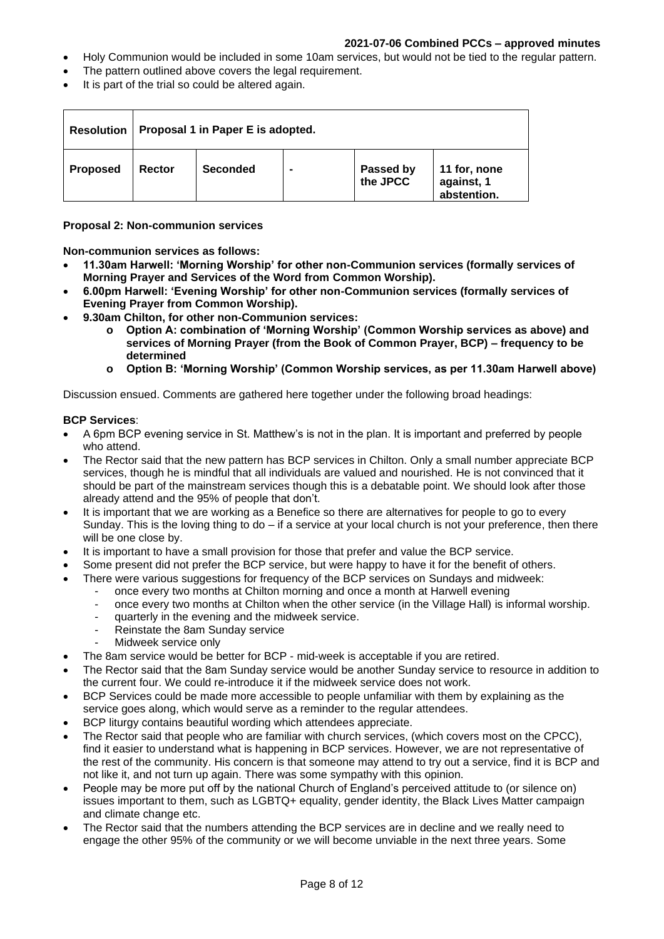- Holy Communion would be included in some 10am services, but would not be tied to the regular pattern.
- The pattern outlined above covers the legal requirement.
- It is part of the trial so could be altered again.

| <b>Resolution</b> | Proposal 1 in Paper E is adopted. |                 |  |                       |                                           |  |  |
|-------------------|-----------------------------------|-----------------|--|-----------------------|-------------------------------------------|--|--|
| <b>Proposed</b>   | Rector                            | <b>Seconded</b> |  | Passed by<br>the JPCC | 11 for, none<br>against, 1<br>abstention. |  |  |

**Proposal 2: Non-communion services**

**Non-communion services as follows:**

- **11.30am Harwell: 'Morning Worship' for other non-Communion services (formally services of Morning Prayer and Services of the Word from Common Worship).**
- **6.00pm Harwell: 'Evening Worship' for other non-Communion services (formally services of Evening Prayer from Common Worship).**
- **9.30am Chilton, for other non-Communion services:**
	- **o Option A: combination of 'Morning Worship' (Common Worship services as above) and services of Morning Prayer (from the Book of Common Prayer, BCP) – frequency to be determined**
	- **o Option B: 'Morning Worship' (Common Worship services, as per 11.30am Harwell above)**

Discussion ensued. Comments are gathered here together under the following broad headings:

### **BCP Services**:

- A 6pm BCP evening service in St. Matthew's is not in the plan. It is important and preferred by people who attend.
- The Rector said that the new pattern has BCP services in Chilton. Only a small number appreciate BCP services, though he is mindful that all individuals are valued and nourished. He is not convinced that it should be part of the mainstream services though this is a debatable point. We should look after those already attend and the 95% of people that don't.
- It is important that we are working as a Benefice so there are alternatives for people to go to every Sunday. This is the loving thing to  $do - if$  a service at your local church is not your preference, then there will be one close by.
- It is important to have a small provision for those that prefer and value the BCP service.
- Some present did not prefer the BCP service, but were happy to have it for the benefit of others.
	- There were various suggestions for frequency of the BCP services on Sundays and midweek:
		- once every two months at Chilton morning and once a month at Harwell evening
		- once every two months at Chilton when the other service (in the Village Hall) is informal worship.
		- quarterly in the evening and the midweek service.
		- Reinstate the 8am Sunday service
		- Midweek service only
- The 8am service would be better for BCP mid-week is acceptable if you are retired.
- The Rector said that the 8am Sunday service would be another Sunday service to resource in addition to the current four. We could re-introduce it if the midweek service does not work.
- BCP Services could be made more accessible to people unfamiliar with them by explaining as the service goes along, which would serve as a reminder to the regular attendees.
- BCP liturgy contains beautiful wording which attendees appreciate.
- The Rector said that people who are familiar with church services, (which covers most on the CPCC), find it easier to understand what is happening in BCP services. However, we are not representative of the rest of the community. His concern is that someone may attend to try out a service, find it is BCP and not like it, and not turn up again. There was some sympathy with this opinion.
- People may be more put off by the national Church of England's perceived attitude to (or silence on) issues important to them, such as LGBTQ+ equality, gender identity, the Black Lives Matter campaign and climate change etc.
- The Rector said that the numbers attending the BCP services are in decline and we really need to engage the other 95% of the community or we will become unviable in the next three years. Some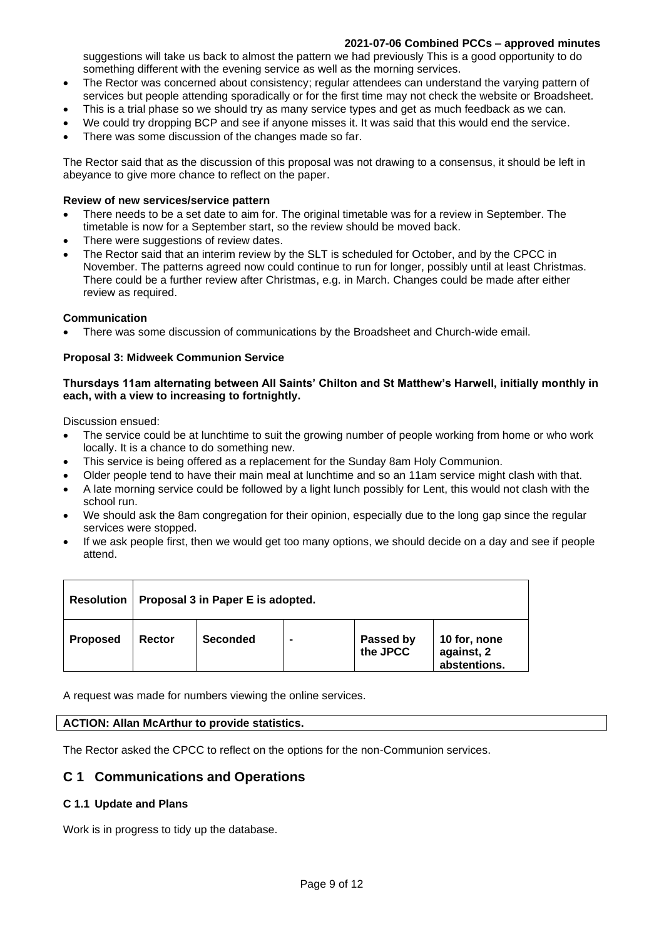suggestions will take us back to almost the pattern we had previously This is a good opportunity to do something different with the evening service as well as the morning services.

- The Rector was concerned about consistency; regular attendees can understand the varying pattern of services but people attending sporadically or for the first time may not check the website or Broadsheet.
- This is a trial phase so we should try as many service types and get as much feedback as we can.
- We could try dropping BCP and see if anyone misses it. It was said that this would end the service.
- There was some discussion of the changes made so far.

The Rector said that as the discussion of this proposal was not drawing to a consensus, it should be left in abeyance to give more chance to reflect on the paper.

#### **Review of new services/service pattern**

- There needs to be a set date to aim for. The original timetable was for a review in September. The timetable is now for a September start, so the review should be moved back.
- There were suggestions of review dates.
- The Rector said that an interim review by the SLT is scheduled for October, and by the CPCC in November. The patterns agreed now could continue to run for longer, possibly until at least Christmas. There could be a further review after Christmas, e.g. in March. Changes could be made after either review as required.

### **Communication**

• There was some discussion of communications by the Broadsheet and Church-wide email.

### **Proposal 3: Midweek Communion Service**

#### **Thursdays 11am alternating between All Saints' Chilton and St Matthew's Harwell, initially monthly in each, with a view to increasing to fortnightly.**

Discussion ensued:

- The service could be at lunchtime to suit the growing number of people working from home or who work locally. It is a chance to do something new.
- This service is being offered as a replacement for the Sunday 8am Holy Communion.
- Older people tend to have their main meal at lunchtime and so an 11am service might clash with that.
- A late morning service could be followed by a light lunch possibly for Lent, this would not clash with the school run.
- We should ask the 8am congregation for their opinion, especially due to the long gap since the regular services were stopped.
- If we ask people first, then we would get too many options, we should decide on a day and see if people attend.

| <b>Resolution</b> | Proposal 3 in Paper E is adopted. |                 |  |                       |                                            |  |  |  |
|-------------------|-----------------------------------|-----------------|--|-----------------------|--------------------------------------------|--|--|--|
| <b>Proposed</b>   | Rector                            | <b>Seconded</b> |  | Passed by<br>the JPCC | 10 for, none<br>against, 2<br>abstentions. |  |  |  |

A request was made for numbers viewing the online services.

#### **ACTION: Allan McArthur to provide statistics.**

The Rector asked the CPCC to reflect on the options for the non-Communion services.

# **C 1 Communications and Operations**

### **C 1.1 Update and Plans**

Work is in progress to tidy up the database.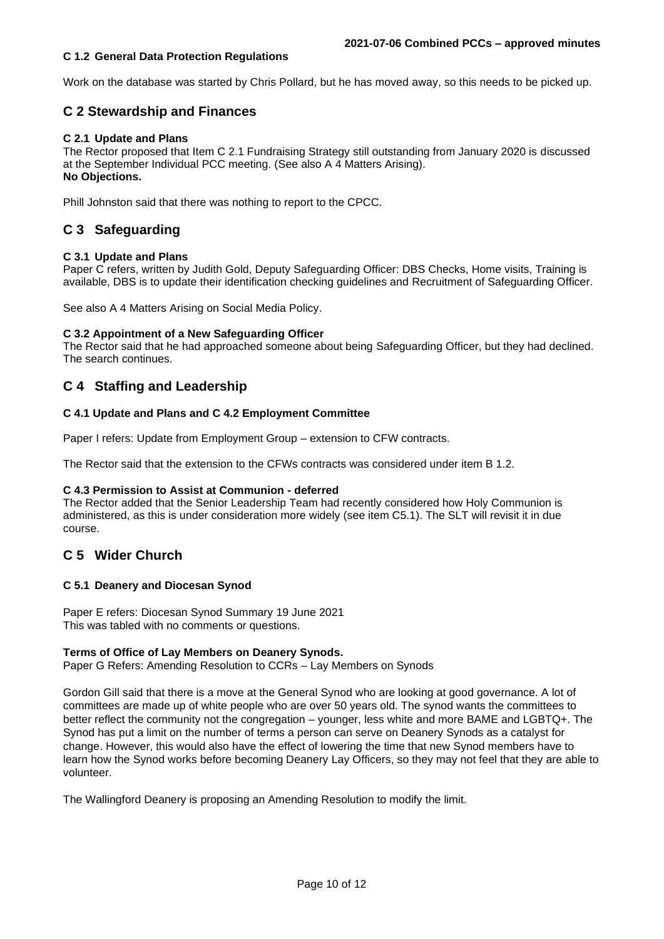### **C 1.2 General Data Protection Regulations**

Work on the database was started by Chris Pollard, but he has moved away, so this needs to be picked up.

# **C 2 Stewardship and Finances**

### **C 2.1 Update and Plans**

The Rector proposed that Item C 2.1 Fundraising Strategy still outstanding from January 2020 is discussed at the September Individual PCC meeting. (See also A 4 Matters Arising). **No Objections.**

Phill Johnston said that there was nothing to report to the CPCC.

# **C 3 Safeguarding**

### **C 3.1 Update and Plans**

Paper C refers, written by Judith Gold, Deputy Safeguarding Officer: DBS Checks, Home visits, Training is available, DBS is to update their identification checking guidelines and Recruitment of Safeguarding Officer.

See also A 4 Matters Arising on Social Media Policy.

#### **C 3.2 Appointment of a New Safeguarding Officer**

The Rector said that he had approached someone about being Safeguarding Officer, but they had declined. The search continues.

# **C 4 Staffing and Leadership**

### **C 4.1 Update and Plans and C 4.2 Employment Committee**

Paper I refers: Update from Employment Group – extension to CFW contracts.

The Rector said that the extension to the CFWs contracts was considered under item B 1.2.

#### **C 4.3 Permission to Assist at Communion - deferred**

The Rector added that the Senior Leadership Team had recently considered how Holy Communion is administered, as this is under consideration more widely (see item C5.1). The SLT will revisit it in due course.

# **C 5 Wider Church**

#### **C 5.1 Deanery and Diocesan Synod**

Paper E refers: Diocesan Synod Summary 19 June 2021 This was tabled with no comments or questions.

#### **Terms of Office of Lay Members on Deanery Synods.**

Paper G Refers: Amending Resolution to CCRs – Lay Members on Synods

Gordon Gill said that there is a move at the General Synod who are looking at good governance. A lot of committees are made up of white people who are over 50 years old. The synod wants the committees to better reflect the community not the congregation – younger, less white and more BAME and LGBTQ+. The Synod has put a limit on the number of terms a person can serve on Deanery Synods as a catalyst for change. However, this would also have the effect of lowering the time that new Synod members have to learn how the Synod works before becoming Deanery Lay Officers, so they may not feel that they are able to volunteer.

The Wallingford Deanery is proposing an Amending Resolution to modify the limit.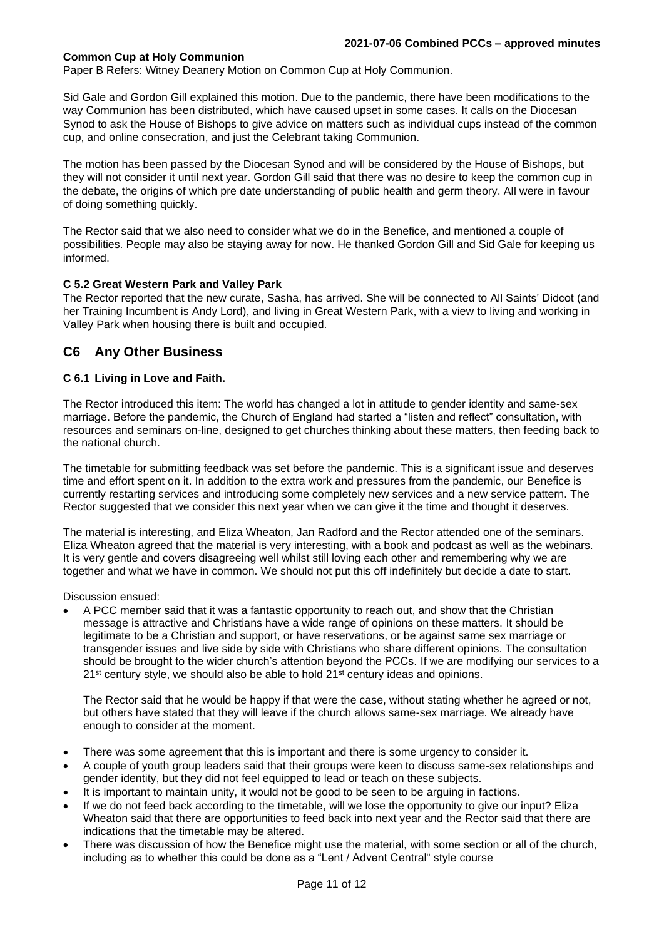### **Common Cup at Holy Communion**

Paper B Refers: Witney Deanery Motion on Common Cup at Holy Communion.

Sid Gale and Gordon Gill explained this motion. Due to the pandemic, there have been modifications to the way Communion has been distributed, which have caused upset in some cases. It calls on the Diocesan Synod to ask the House of Bishops to give advice on matters such as individual cups instead of the common cup, and online consecration, and just the Celebrant taking Communion.

The motion has been passed by the Diocesan Synod and will be considered by the House of Bishops, but they will not consider it until next year. Gordon Gill said that there was no desire to keep the common cup in the debate, the origins of which pre date understanding of public health and germ theory. All were in favour of doing something quickly.

The Rector said that we also need to consider what we do in the Benefice, and mentioned a couple of possibilities. People may also be staying away for now. He thanked Gordon Gill and Sid Gale for keeping us informed.

### **C 5.2 Great Western Park and Valley Park**

The Rector reported that the new curate, Sasha, has arrived. She will be connected to All Saints' Didcot (and her Training Incumbent is Andy Lord), and living in Great Western Park, with a view to living and working in Valley Park when housing there is built and occupied.

## **C6 Any Other Business**

### **C 6.1 Living in Love and Faith.**

The Rector introduced this item: The world has changed a lot in attitude to gender identity and same-sex marriage. Before the pandemic, the Church of England had started a "listen and reflect" consultation, with resources and seminars on-line, designed to get churches thinking about these matters, then feeding back to the national church.

The timetable for submitting feedback was set before the pandemic. This is a significant issue and deserves time and effort spent on it. In addition to the extra work and pressures from the pandemic, our Benefice is currently restarting services and introducing some completely new services and a new service pattern. The Rector suggested that we consider this next year when we can give it the time and thought it deserves.

The material is interesting, and Eliza Wheaton, Jan Radford and the Rector attended one of the seminars. Eliza Wheaton agreed that the material is very interesting, with a book and podcast as well as the webinars. It is very gentle and covers disagreeing well whilst still loving each other and remembering why we are together and what we have in common. We should not put this off indefinitely but decide a date to start.

Discussion ensued:

• A PCC member said that it was a fantastic opportunity to reach out, and show that the Christian message is attractive and Christians have a wide range of opinions on these matters. It should be legitimate to be a Christian and support, or have reservations, or be against same sex marriage or transgender issues and live side by side with Christians who share different opinions. The consultation should be brought to the wider church's attention beyond the PCCs. If we are modifying our services to a  $21^{st}$  century style, we should also be able to hold  $21^{st}$  century ideas and opinions.

The Rector said that he would be happy if that were the case, without stating whether he agreed or not, but others have stated that they will leave if the church allows same-sex marriage. We already have enough to consider at the moment.

- There was some agreement that this is important and there is some urgency to consider it.
- A couple of youth group leaders said that their groups were keen to discuss same-sex relationships and gender identity, but they did not feel equipped to lead or teach on these subjects.
- It is important to maintain unity, it would not be good to be seen to be arguing in factions.
- If we do not feed back according to the timetable, will we lose the opportunity to give our input? Eliza Wheaton said that there are opportunities to feed back into next year and the Rector said that there are indications that the timetable may be altered.
- There was discussion of how the Benefice might use the material, with some section or all of the church, including as to whether this could be done as a "Lent / Advent Central" style course